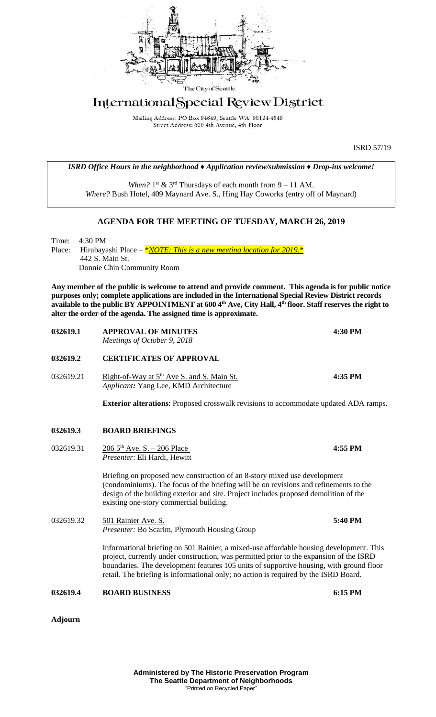

## International Special Review District

Mailing Address: PO Box 94649, Seattle WA 98124-4649<br>Street Address: 600 4th Avenue, 4th Floor

|                 |  |                                                                                                                                                                                                                                                                                                                                                                                                                       | <b>ISRD 57/19</b> |  |
|-----------------|--|-----------------------------------------------------------------------------------------------------------------------------------------------------------------------------------------------------------------------------------------------------------------------------------------------------------------------------------------------------------------------------------------------------------------------|-------------------|--|
|                 |  | ISRD Office Hours in the neighborhood $\triangle$ Application review/submission $\triangle$ Drop-ins welcome!                                                                                                                                                                                                                                                                                                         |                   |  |
|                 |  | When? $1^{st}$ & $3^{rd}$ Thursdays of each month from $9 - 11$ AM.<br>Where? Bush Hotel, 409 Maynard Ave. S., Hing Hay Coworks (entry off of Maynard)                                                                                                                                                                                                                                                                |                   |  |
|                 |  | <b>AGENDA FOR THE MEETING OF TUESDAY, MARCH 26, 2019</b>                                                                                                                                                                                                                                                                                                                                                              |                   |  |
| Time:<br>Place: |  | 4:30 PM<br>Hirabayashi Place - $*NOTE$ : This is a new meeting location for 2019. $*$<br>442 S. Main St.<br>Donnie Chin Community Room                                                                                                                                                                                                                                                                                |                   |  |
|                 |  | Any member of the public is welcome to attend and provide comment. This agenda is for public notice<br>purposes only; complete applications are included in the International Special Review District records<br>available to the public BY APPOINTMENT at 600 4 <sup>th</sup> Ave, City Hall, 4 <sup>th</sup> floor. Staff reserves the right to<br>alter the order of the agenda. The assigned time is approximate. |                   |  |
| 032619.1        |  | <b>APPROVAL OF MINUTES</b><br>Meetings of October 9, 2018                                                                                                                                                                                                                                                                                                                                                             | 4:30 PM           |  |
| 032619.2        |  | <b>CERTIFICATES OF APPROVAL</b>                                                                                                                                                                                                                                                                                                                                                                                       |                   |  |
| 032619.21       |  | Right-of-Way at 5 <sup>th</sup> Ave S. and S. Main St.<br>Applicant: Yang Lee, KMD Architecture                                                                                                                                                                                                                                                                                                                       | 4:35 PM           |  |
|                 |  | <b>Exterior alterations:</b> Proposed crosswalk revisions to accommodate updated ADA ramps.                                                                                                                                                                                                                                                                                                                           |                   |  |
| 032619.3        |  | <b>BOARD BRIEFINGS</b>                                                                                                                                                                                                                                                                                                                                                                                                |                   |  |
| 032619.31       |  | $2065$ <sup>th</sup> Ave. S. - 206 Place<br>Presenter: Eli Hardi, Hewitt                                                                                                                                                                                                                                                                                                                                              | 4:55 PM           |  |
|                 |  | Briefing on proposed new construction of an 8-story mixed use development<br>(condominiums). The focus of the briefing will be on revisions and refinements to the<br>design of the building exterior and site. Project includes proposed demolition of the<br>existing one-story commercial building.                                                                                                                |                   |  |
| 032619.32       |  | 501 Rainier Ave. S.<br>Presenter: Bo Scarim, Plymouth Housing Group                                                                                                                                                                                                                                                                                                                                                   | 5:40 PM           |  |
|                 |  | Informational briefing on 501 Rainier, a mixed-use affordable housing development. This<br>project, currently under construction, was permitted prior to the expansion of the ISRD<br>boundaries. The development features 105 units of supportive housing, with ground floor<br>retail. The briefing is informational only; no action is required by the ISRD Board.                                                 |                   |  |
| 032619.4        |  | <b>BOARD BUSINESS</b>                                                                                                                                                                                                                                                                                                                                                                                                 | 6:15 PM           |  |
| <b>Adjourn</b>  |  |                                                                                                                                                                                                                                                                                                                                                                                                                       |                   |  |
|                 |  | <b>Administered by The Historic Preservation Program</b><br>The Seattle Department of Neighborhoods<br>"Printed on Recycled Paper"                                                                                                                                                                                                                                                                                    |                   |  |